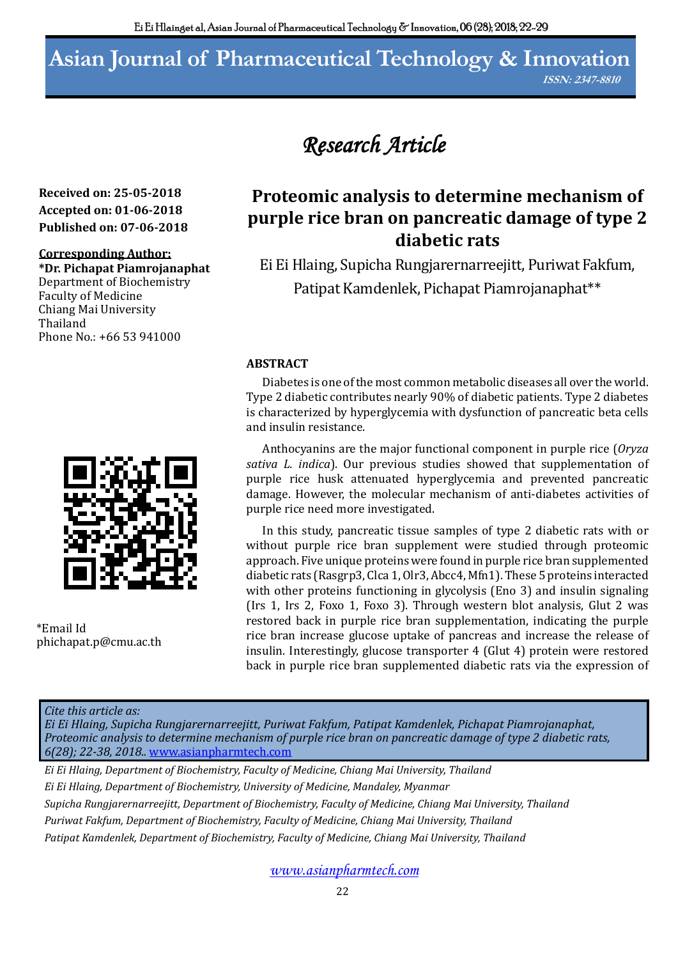# **Asian Journal of Pharmaceutical Technology & Innovation**

**ISSN: 2347-8810**

# *Research Article*

# **Received on: 25-05-2018 Accepted on: 01-06-2018 Published on: 07-06-2018**

#### **Corresponding Author: \*Dr. Pichapat Piamrojanaphat**  Department of Biochemistry Faculty of Medicine Chiang Mai University Thailand

Phone No.: +66 53 941000



\*Email Id phichapat.p@cmu.ac.th

# **Proteomic analysis to determine mechanism of purple rice bran on pancreatic damage of type 2 diabetic rats**

Ei Ei Hlaing, Supicha Rungjarernarreejitt, Puriwat Fakfum, Patipat Kamdenlek, Pichapat Piamrojanaphat\*\*

# **ABSTRACT**

Diabetes is one of the most common metabolic diseases all over the world. Type 2 diabetic contributes nearly 90% of diabetic patients. Type 2 diabetes is characterized by hyperglycemia with dysfunction of pancreatic beta cells and insulin resistance.

Anthocyanins are the major functional component in purple rice (*Oryza sativa L. indica*). Our previous studies showed that supplementation of purple rice husk attenuated hyperglycemia and prevented pancreatic damage. However, the molecular mechanism of anti-diabetes activities of purple rice need more investigated.

In this study, pancreatic tissue samples of type 2 diabetic rats with or without purple rice bran supplement were studied through proteomic approach. Five unique proteins were found in purple rice bran supplemented diabetic rats (Rasgrp3, Clca 1, Olr3, Abcc4, Mfn1). These 5 proteins interacted with other proteins functioning in glycolysis (Eno 3) and insulin signaling (Irs 1, Irs 2, Foxo 1, Foxo 3). Through western blot analysis, Glut 2 was restored back in purple rice bran supplementation, indicating the purple rice bran increase glucose uptake of pancreas and increase the release of insulin. Interestingly, glucose transporter 4 (Glut 4) protein were restored back in purple rice bran supplemented diabetic rats via the expression of

# *Cite this article as:*

*Ei Ei Hlaing, Supicha Rungjarernarreejitt, Puriwat Fakfum, Patipat Kamdenlek, Pichapat Piamrojanaphat, Proteomic analysis to determine mechanism of purple rice bran on pancreatic damage of type 2 diabetic rats, 6(28); 22-38, 2018..* www.asianpharmtech.com

*Ei Ei Hlaing, Department of Biochemistry, Faculty of Medicine, Chiang Mai University, Thailand Ei Ei Hlaing, Department of Biochemistry, University of Medicine, Mandaley, Myanmar Supicha Rungjarernarreejitt, Department of Biochemistry, Faculty of Medicine, Chiang Mai University, Thailand Puriwat Fakfum, Department of Biochemistry, Faculty of Medicine, Chiang Mai University, Thailand Patipat Kamdenlek, Department of Biochemistry, Faculty of Medicine, Chiang Mai University, Thailand*

*[www.asianpharmtech.com](http://www.asianpharmtech.com/)*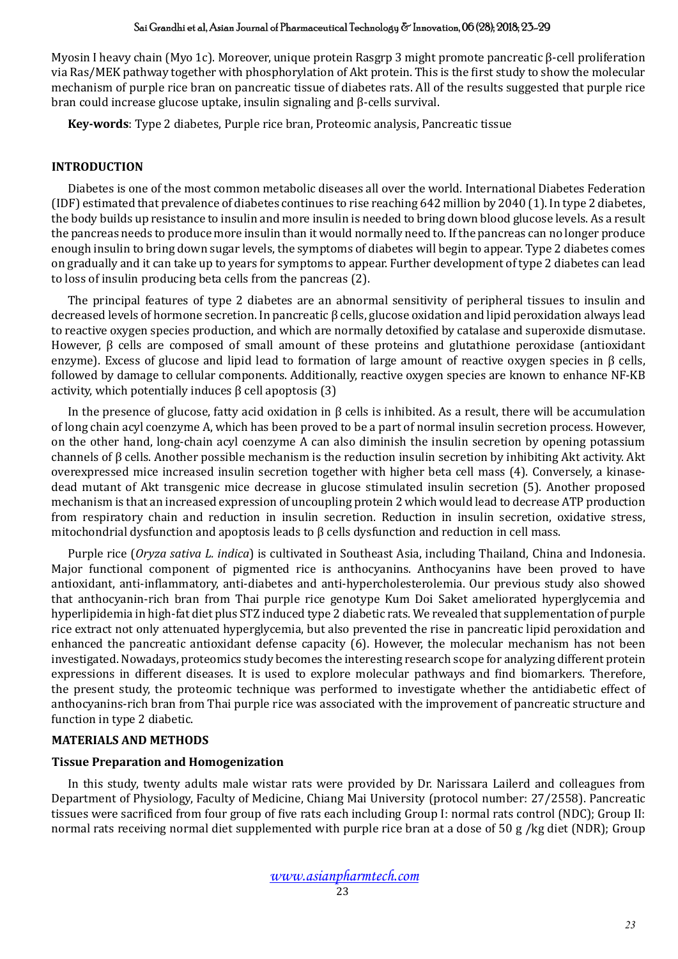#### Sai Grandhi et al, Asian Journal of Pharmaceutical Technology & Innovation, 06 (28); 2018; 23-29

Myosin I heavy chain (Myo 1c). Moreover, unique protein Rasgrp 3 might promote pancreatic β-cell proliferation via Ras/MEK pathway together with phosphorylation of Akt protein. This is the first study to show the molecular mechanism of purple rice bran on pancreatic tissue of diabetes rats. All of the results suggested that purple rice bran could increase glucose uptake, insulin signaling and β-cells survival.

**Key-words**: Type 2 diabetes, Purple rice bran, Proteomic analysis, Pancreatic tissue

#### **INTRODUCTION**

Diabetes is one of the most common metabolic diseases all over the world. International Diabetes Federation (IDF) estimated that prevalence of diabetes continues to rise reaching 642 million by 2040 (1). In type 2 diabetes, the body builds up resistance to insulin and more insulin is needed to bring down blood glucose levels. As a result the pancreas needs to produce more insulin than it would normally need to. If the pancreas can no longer produce enough insulin to bring down sugar levels, the symptoms of diabetes will begin to appear. Type 2 diabetes comes on gradually and it can take up to years for symptoms to appear. Further development of type 2 diabetes can lead to loss of insulin producing beta cells from the pancreas (2).

The principal features of type 2 diabetes are an abnormal sensitivity of peripheral tissues to insulin and decreased levels of hormone secretion. In pancreatic β cells, glucose oxidation and lipid peroxidation always lead to reactive oxygen species production, and which are normally detoxified by catalase and superoxide dismutase. However, β cells are composed of small amount of these proteins and glutathione peroxidase (antioxidant enzyme). Excess of glucose and lipid lead to formation of large amount of reactive oxygen species in β cells, followed by damage to cellular components. Additionally, reactive oxygen species are known to enhance NF-KB activity, which potentially induces  $\beta$  cell apoptosis (3)

In the presence of glucose, fatty acid oxidation in β cells is inhibited. As a result, there will be accumulation of long chain acyl coenzyme A, which has been proved to be a part of normal insulin secretion process. However, on the other hand, long-chain acyl coenzyme A can also diminish the insulin secretion by opening potassium channels of β cells. Another possible mechanism is the reduction insulin secretion by inhibiting Akt activity. Akt overexpressed mice increased insulin secretion together with higher beta cell mass (4). Conversely, a kinasedead mutant of Akt transgenic mice decrease in glucose stimulated insulin secretion (5). Another proposed mechanism is that an increased expression of uncoupling protein 2 which would lead to decrease ATP production from respiratory chain and reduction in insulin secretion. Reduction in insulin secretion, oxidative stress, mitochondrial dysfunction and apoptosis leads to  $\beta$  cells dysfunction and reduction in cell mass.

Purple rice (*Oryza sativa L. indica*) is cultivated in Southeast Asia, including Thailand, China and Indonesia. Major functional component of pigmented rice is anthocyanins. Anthocyanins have been proved to have antioxidant, anti-inflammatory, anti-diabetes and anti-hypercholesterolemia. Our previous study also showed that anthocyanin-rich bran from Thai purple rice genotype Kum Doi Saket ameliorated hyperglycemia and hyperlipidemia in high-fat diet plus STZ induced type 2 diabetic rats. We revealed that supplementation of purple rice extract not only attenuated hyperglycemia, but also prevented the rise in pancreatic lipid peroxidation and enhanced the pancreatic antioxidant defense capacity (6). However, the molecular mechanism has not been investigated. Nowadays, proteomics study becomes the interesting research scope for analyzing different protein expressions in different diseases. It is used to explore molecular pathways and find biomarkers. Therefore, the present study, the proteomic technique was performed to investigate whether the antidiabetic effect of anthocyanins-rich bran from Thai purple rice was associated with the improvement of pancreatic structure and function in type 2 diabetic.

#### **MATERIALS AND METHODS**

#### **Tissue Preparation and Homogenization**

In this study, twenty adults male wistar rats were provided by Dr. Narissara Lailerd and colleagues from Department of Physiology, Faculty of Medicine, Chiang Mai University (protocol number: 27/2558). Pancreatic tissues were sacrificed from four group of five rats each including Group I: normal rats control (NDC); Group II: normal rats receiving normal diet supplemented with purple rice bran at a dose of 50 g /kg diet (NDR); Group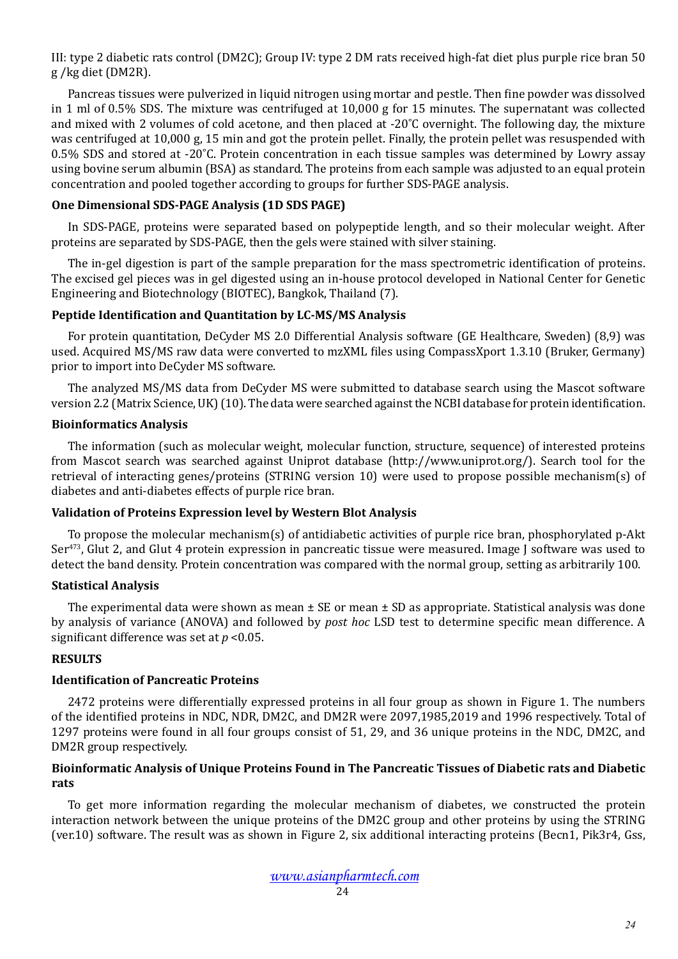III: type 2 diabetic rats control (DM2C); Group IV: type 2 DM rats received high-fat diet plus purple rice bran 50 g /kg diet (DM2R).

Pancreas tissues were pulverized in liquid nitrogen using mortar and pestle. Then fine powder was dissolved in 1 ml of 0.5% SDS. The mixture was centrifuged at 10,000 g for 15 minutes. The supernatant was collected and mixed with 2 volumes of cold acetone, and then placed at -20˚C overnight. The following day, the mixture was centrifuged at 10,000 g, 15 min and got the protein pellet. Finally, the protein pellet was resuspended with 0.5% SDS and stored at -20˚C. Protein concentration in each tissue samples was determined by Lowry assay using bovine serum albumin (BSA) as standard. The proteins from each sample was adjusted to an equal protein concentration and pooled together according to groups for further SDS-PAGE analysis.

#### **One Dimensional SDS-PAGE Analysis (1D SDS PAGE)**

In SDS-PAGE, proteins were separated based on polypeptide length, and so their molecular weight. After proteins are separated by SDS-PAGE, then the gels were stained with silver staining.

The in-gel digestion is part of the [sample preparation](http://en.wikipedia.org/wiki/Sample_preparation_(mass_spectrometry)) for the [mass spectrometric](http://en.wikipedia.org/wiki/Mass_spectrometry) identification of [proteins](http://en.wikipedia.org/wiki/Protein). The excised gel pieces was in gel digested using an in-house protocol developed in National Center for Genetic Engineering and Biotechnology (BIOTEC), Bangkok, Thailand (7).

# **Peptide Identification and Quantitation by LC-MS/MS Analysis**

For protein quantitation, DeCyder MS 2.0 Differential Analysis software (GE Healthcare, Sweden) (8,9) was used. Acquired MS/MS raw data were converted to mzXML files using CompassXport 1.3.10 (Bruker, Germany) prior to import into DeCyder MS software.

The analyzed MS/MS data from DeCyder MS were submitted to database search using the Mascot software version 2.2 (Matrix Science, UK) (10). The data were searched against the NCBI database for protein identification.

#### **Bioinformatics Analysis**

The information (such as molecular weight, molecular function, structure, sequence) of interested proteins from Mascot search was searched against Uniprot database (<http://www.uniprot.org/>). Search tool for the retrieval of interacting genes/proteins (STRING version 10) were used to propose possible mechanism(s) of diabetes and anti-diabetes effects of purple rice bran.

#### **Validation of Proteins Expression level by Western Blot Analysis**

To propose the molecular mechanism(s) of antidiabetic activities of purple rice bran, phosphorylated p-Akt Ser473, Glut 2, and Glut 4 protein expression in pancreatic tissue were measured. Image J software was used to detect the band density. Protein concentration was compared with the normal group, setting as arbitrarily 100.

#### **Statistical Analysis**

The experimental data were shown as mean  $\pm$  SE or mean  $\pm$  SD as appropriate. Statistical analysis was done by analysis of variance (ANOVA) and followed by *post hoc* LSD test to determine specific mean difference. A significant difference was set at *p* <0.05.

# **RESULTS**

#### **Identification of Pancreatic Proteins**

2472 proteins were differentially expressed proteins in all four group as shown in Figure 1. The numbers of the identified proteins in NDC, NDR, DM2C, and DM2R were 2097,1985,2019 and 1996 respectively. Total of 1297 proteins were found in all four groups consist of 51, 29, and 36 unique proteins in the NDC, DM2C, and DM2R group respectively.

#### **Bioinformatic Analysis of Unique Proteins Found in The Pancreatic Tissues of Diabetic rats and Diabetic rats**

To get more information regarding the molecular mechanism of diabetes, we constructed the protein interaction network between the unique proteins of the DM2C group and other proteins by using the STRING (ver.10) software. The result was as shown in Figure 2, six additional interacting proteins (Becn1, Pik3r4, Gss,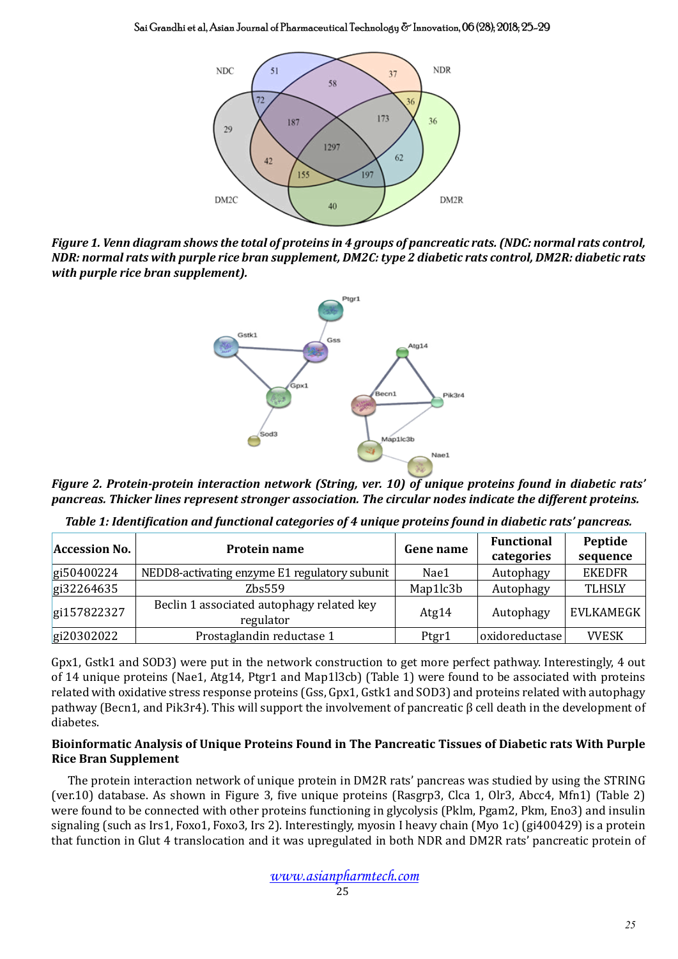#### Sai Grandhi et al, Asian Journal of Pharmaceutical Technology & Innovation, 06 (28); 2018; 25-29



*Figure 1. Venn diagram shows the total of proteins in 4 groups of pancreatic rats. (NDC: normal rats control, NDR: normal rats with purple rice bran supplement, DM2C: type 2 diabetic rats control, DM2R: diabetic rats with purple rice bran supplement).*



*Figure 2. Protein-protein interaction network (String, ver. 10) of unique proteins found in diabetic rats' pancreas. Thicker lines represent stronger association. The circular nodes indicate the different proteins.*

*Table 1: Identification and functional categories of 4 unique proteins found in diabetic rats' pancreas.*

| <b>Accession No.</b> | Protein name                                           | <b>Gene name</b> | <b>Functional</b><br>categories | Peptide<br>sequence |
|----------------------|--------------------------------------------------------|------------------|---------------------------------|---------------------|
| gi50400224           | NEDD8-activating enzyme E1 regulatory subunit          | Nae1             | Autophagy                       | <b>EKEDFR</b>       |
| gi32264635           | Z <sub>bs559</sub>                                     | Map1lc3b         | Autophagy                       | <b>TLHSLY</b>       |
| gi157822327          | Beclin 1 associated autophagy related key<br>regulator | Atg14            | Autophagy                       | EVLKAMEGK           |
| gi20302022           | Prostaglandin reductase 1                              | Ptgr1            | oxidoreductase                  | <b>VVESK</b>        |

Gpx1, Gstk1 and SOD3) were put in the network construction to get more perfect pathway. Interestingly, 4 out of 14 unique proteins (Nae1, Atg14, Ptgr1 and Map1l3cb) (Table 1) were found to be associated with proteins related with oxidative stress response proteins (Gss, Gpx1, Gstk1 and SOD3) and proteins related with autophagy pathway (Becn1, and Pik3r4). This will support the involvement of pancreatic β cell death in the development of diabetes.

# **Bioinformatic Analysis of Unique Proteins Found in The Pancreatic Tissues of Diabetic rats With Purple Rice Bran Supplement**

The protein interaction network of unique protein in DM2R rats' pancreas was studied by using the STRING (ver.10) database. As shown in Figure 3, five unique proteins (Rasgrp3, Clca 1, Olr3, Abcc4, Mfn1) (Table 2) were found to be connected with other proteins functioning in glycolysis (Pklm, Pgam2, Pkm, Eno3) and insulin signaling (such as Irs1, Foxo1, Foxo3, Irs 2). Interestingly, myosin I heavy chain (Myo 1c) (gi400429) is a protein that function in Glut 4 translocation and it was upregulated in both NDR and DM2R rats' pancreatic protein of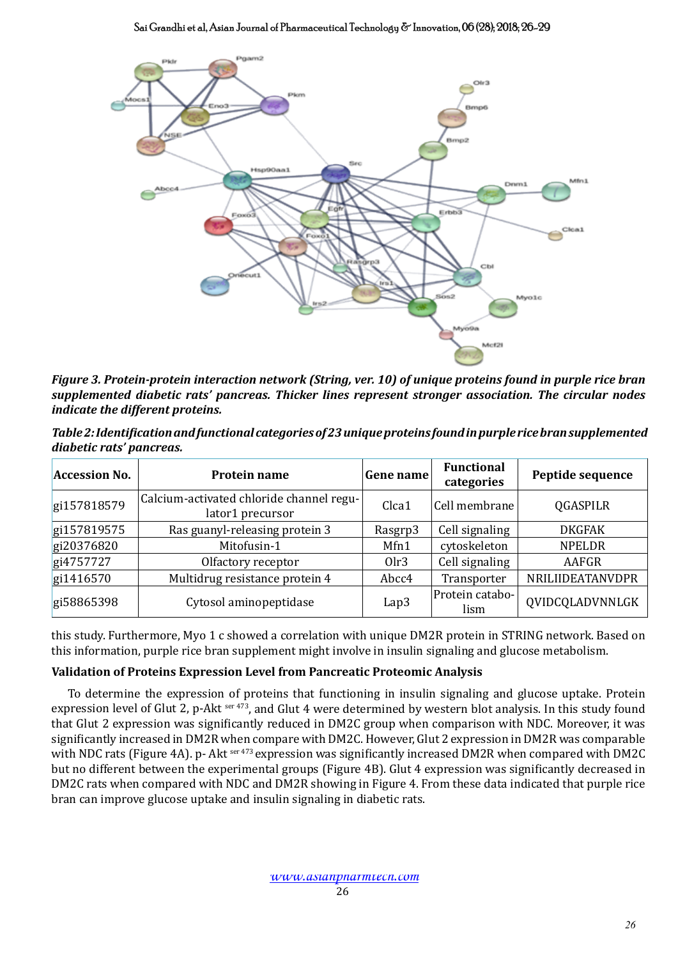#### Sai Grandhi et al, Asian Journal of Pharmaceutical Technology & Innovation, 06 (28); 2018; 26-29



*Figure 3. Protein-protein interaction network (String, ver. 10) of unique proteins found in purple rice bran supplemented diabetic rats' pancreas. Thicker lines represent stronger association. The circular nodes indicate the different proteins.*

| Table 2: Identification and functional categories of 23 unique proteins found in purple rice bran supplemented |
|----------------------------------------------------------------------------------------------------------------|
| diabetic rats' pancreas.                                                                                       |

| <b>Accession No.</b> | Protein name                                                 | Gene name         | <b>Functional</b><br>categories | Peptide sequence |
|----------------------|--------------------------------------------------------------|-------------------|---------------------------------|------------------|
| gi157818579          | Calcium-activated chloride channel regu-<br>lator1 precursor | Clca <sub>1</sub> | Cell membrane                   | QGASPILR         |
| gi157819575          | Ras guanyl-releasing protein 3                               | Rasgrp3           | Cell signaling                  | <b>DKGFAK</b>    |
| gi20376820           | Mitofusin-1                                                  | Mfn1              | cytoskeleton                    | <b>NPELDR</b>    |
| gi4757727            | Olfactory receptor                                           | Olr3              | Cell signaling                  | AAFGR            |
| gi1416570            | Multidrug resistance protein 4                               | Abcc4             | Transporter                     | NRILIIDEATANVDPR |
| gi58865398           | Cytosol aminopeptidase                                       | Lap3              | Protein catabo-<br>lism         | QVIDCQLADVNNLGK  |

this study. Furthermore, Myo 1 c showed a correlation with unique DM2R protein in STRING network. Based on this information, purple rice bran supplement might involve in insulin signaling and glucose metabolism.

# **Validation of Proteins Expression Level from Pancreatic Proteomic Analysis**

To determine the expression of proteins that functioning in insulin signaling and glucose uptake. Protein expression level of Glut 2, p-Akt ser 473, and Glut 4 were determined by western blot analysis. In this study found that Glut 2 expression was significantly reduced in DM2C group when comparison with NDC. Moreover, it was significantly increased in DM2R when compare with DM2C. However, Glut 2 expression in DM2R was comparable with NDC rats (Figure 4A). p- Akt ser 473 expression was significantly increased DM2R when compared with DM2C but no different between the experimental groups (Figure 4B). Glut 4 expression was significantly decreased in DM2C rats when compared with NDC and DM2R showing in Figure 4. From these data indicated that purple rice bran can improve glucose uptake and insulin signaling in diabetic rats.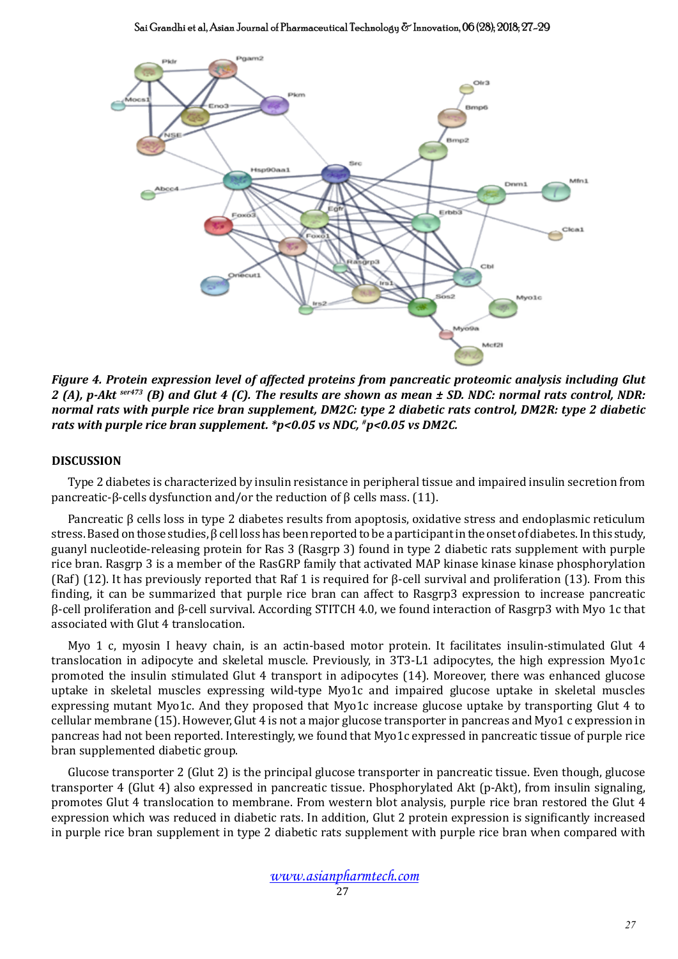

*Figure 4. Protein expression level of affected proteins from pancreatic proteomic analysis including Glut 2 (A), p-Akt ser473 (B) and Glut 4 (C). The results are shown as mean ± SD. NDC: normal rats control, NDR: normal rats with purple rice bran supplement, DM2C: type 2 diabetic rats control, DM2R: type 2 diabetic rats with purple rice bran supplement. \*p<0.05 vs NDC, #p<0.05 vs DM2C.*

# **DISCUSSION**

Type 2 diabetes is characterized by insulin resistance in peripheral tissue and impaired insulin secretion from pancreatic-β-cells dysfunction and/or the reduction of β cells mass. (11).

Pancreatic β cells loss in type 2 diabetes results from apoptosis, oxidative stress and endoplasmic reticulum stress. Based on those studies, β cell loss has been reported to be a participant in the onset of diabetes. In this study, guanyl nucleotide-releasing protein for Ras 3 (Rasgrp 3) found in type 2 diabetic rats supplement with purple rice bran. Rasgrp 3 is a member of the RasGRP family that activated MAP kinase kinase kinase phosphorylation (Raf) (12). It has previously reported that Raf 1 is required for  $\beta$ -cell survival and proliferation (13). From this finding, it can be summarized that purple rice bran can affect to Rasgrp3 expression to increase pancreatic β-cell proliferation and β-cell survival. According STITCH 4.0, we found interaction of Rasgrp3 with Myo 1c that associated with Glut 4 translocation.

Myo 1 c, myosin I heavy chain, is an actin-based motor protein. It facilitates insulin-stimulated Glut 4 translocation in adipocyte and skeletal muscle. Previously, in 3T3-L1 adipocytes, the high expression Myo1c promoted the insulin stimulated Glut 4 transport in adipocytes (14). Moreover, there was enhanced glucose uptake in skeletal muscles expressing wild-type Myo1c and impaired glucose uptake in skeletal muscles expressing mutant Myo1c. And they proposed that Myo1c increase glucose uptake by transporting Glut 4 to cellular membrane (15). However, Glut 4 is not a major glucose transporter in pancreas and Myo1 c expression in pancreas had not been reported. Interestingly, we found that Myo1c expressed in pancreatic tissue of purple rice bran supplemented diabetic group.

Glucose transporter 2 (Glut 2) is the principal glucose transporter in pancreatic tissue. Even though, glucose transporter 4 (Glut 4) also expressed in pancreatic tissue. Phosphorylated Akt (p-Akt), from insulin signaling, promotes Glut 4 translocation to membrane. From western blot analysis, purple rice bran restored the Glut 4 expression which was reduced in diabetic rats. In addition, Glut 2 protein expression is significantly increased in purple rice bran supplement in type 2 diabetic rats supplement with purple rice bran when compared with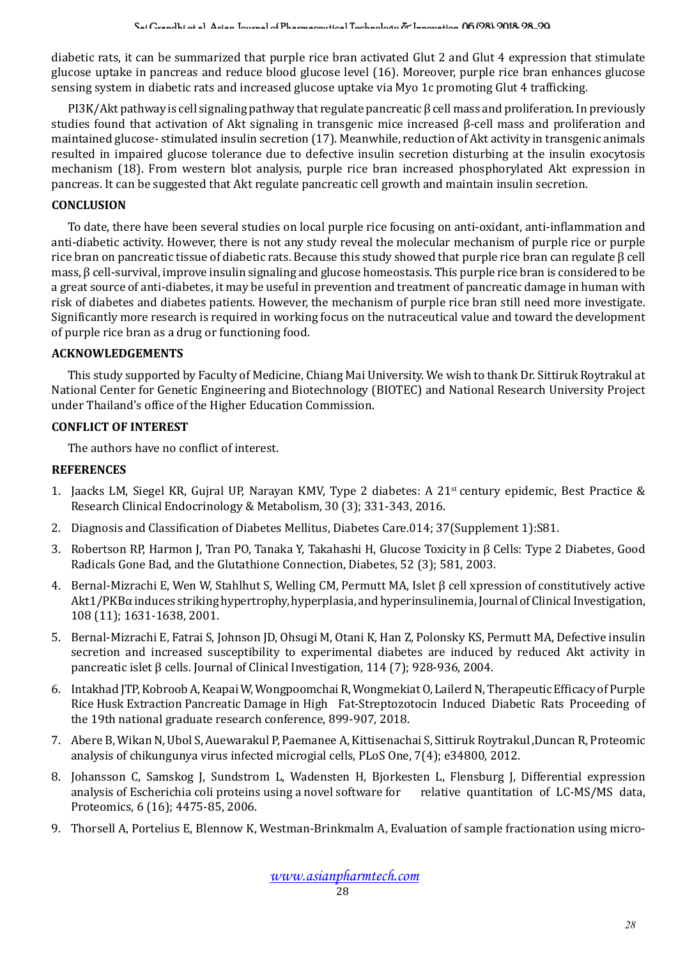diabetic rats, it can be summarized that purple rice bran activated Glut 2 and Glut 4 expression that stimulate glucose uptake in pancreas and reduce blood glucose level (16). Moreover, purple rice bran enhances glucose sensing system in diabetic rats and increased glucose uptake via Myo 1c promoting Glut 4 trafficking.

PI3K/Akt pathway is cell signaling pathway that regulate pancreatic  $\beta$  cell mass and proliferation. In previously studies found that activation of Akt signaling in transgenic mice increased β-cell mass and proliferation and maintained glucose- stimulated insulin secretion (17). Meanwhile, reduction of Akt activity in transgenic animals resulted in impaired glucose tolerance due to defective insulin secretion disturbing at the insulin exocytosis mechanism (18). From western blot analysis, purple rice bran increased phosphorylated Akt expression in pancreas. It can be suggested that Akt regulate pancreatic cell growth and maintain insulin secretion.

#### **CONCLUSION**

To date, there have been several studies on local purple rice focusing on anti-oxidant, anti-inflammation and anti-diabetic activity. However, there is not any study reveal the molecular mechanism of purple rice or purple rice bran on pancreatic tissue of diabetic rats. Because this study showed that purple rice bran can regulate β cell mass, β cell-survival, improve insulin signaling and glucose homeostasis. This purple rice bran is considered to be a great source of anti-diabetes, it may be useful in prevention and treatment of pancreatic damage in human with risk of diabetes and diabetes patients. However, the mechanism of purple rice bran still need more investigate. Significantly more research is required in working focus on the nutraceutical value and toward the development of purple rice bran as a drug or functioning food.

#### **ACKNOWLEDGEMENTS**

This study supported by Faculty of Medicine, Chiang Mai University. We wish to thank Dr. Sittiruk Roytrakul at National Center for Genetic Engineering and Biotechnology (BIOTEC) and National Research University Project under Thailand's office of the Higher Education Commission.

#### **CONFLICT OF INTEREST**

The authors have no conflict of interest.

#### **REFERENCES**

- 1. Jaacks LM, Siegel KR, Gujral UP, Narayan KMV, Type 2 diabetes: A 21<sup>st</sup> century epidemic, Best Practice & Research Clinical Endocrinology & Metabolism, 30 (3); 331-343, 2016.
- 2. Diagnosis and Classification of Diabetes Mellitus, Diabetes Care.014; 37(Supplement 1):S81.
- 3. Robertson RP, Harmon J, Tran PO, Tanaka Y, Takahashi H, Glucose Toxicity in β Cells: Type 2 Diabetes, Good Radicals Gone Bad, and the Glutathione Connection, Diabetes, 52 (3); 581, 2003.
- 4. Bernal-Mizrachi E, Wen W, Stahlhut S, Welling CM, Permutt MA, Islet β cell xpression of constitutively active Akt1/PKBα induces striking hypertrophy, hyperplasia, and hyperinsulinemia, Journal of Clinical Investigation, 108 (11); 1631-1638, 2001.
- 5. Bernal-Mizrachi E, Fatrai S, Johnson JD, Ohsugi M, Otani K, Han Z, [Polonsky KS](https://www.ncbi.nlm.nih.gov/pubmed/?term=Polonsky KS%5BAuthor%5D&cauthor=true&cauthor_uid=15467831), [Permutt MA,](https://www.ncbi.nlm.nih.gov/pubmed/?term=Permutt MA%5BAuthor%5D&cauthor=true&cauthor_uid=15467831) Defective insulin secretion and increased susceptibility to experimental diabetes are induced by reduced Akt activity in pancreatic islet β cells. Journal of Clinical Investigation, 114 (7); 928-936, 2004.
- 6. Intakhad JTP, Kobroob A, Keapai W, Wongpoomchai R, Wongmekiat O, Lailerd N, Therapeutic Efficacy of Purple Rice Husk Extraction Pancreatic Damage in High Fat-Streptozotocin Induced Diabetic Rats Proceeding of the 19th national graduate research conference, 899-907, 2018.
- 7. Abere B, Wikan N, Ubol S, Auewarakul P, Paemanee A, Kittisenachai S, Sittiruk Roytrakul ,Duncan R, Proteomic analysis of chikungunya virus infected microgial cells, PLoS One, 7(4); e34800, 2012.
- 8. Johansson C, Samskog J, Sundstrom L, Wadensten H, Bjorkesten L, Flensburg J, Differential expression analysis of Escherichia coli proteins using a novel software for relative quantitation of LC-MS/MS data, Proteomics, 6 (16); 4475-85, 2006.
- 9. Thorsell A, Portelius E, Blennow K, Westman-Brinkmalm A, Evaluation of sample fractionation using micro-